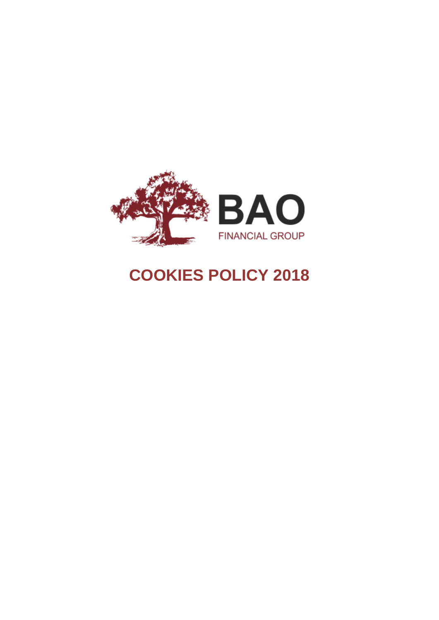

# **COOKIES POLICY 2018**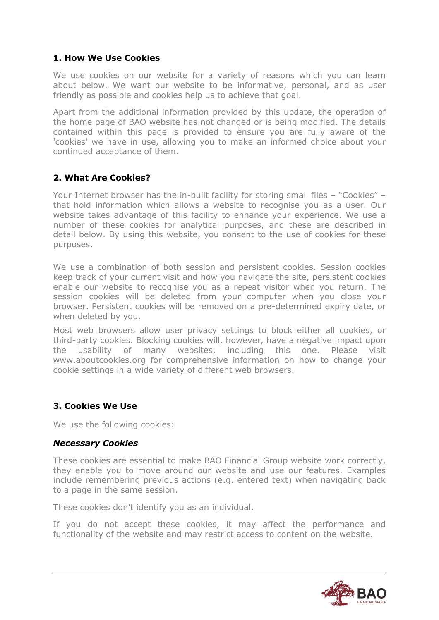### **1. How We Use Cookies**

We use cookies on our website for a variety of reasons which you can learn about below. We want our website to be informative, personal, and as user friendly as possible and cookies help us to achieve that goal.

Apart from the additional information provided by this update, the operation of the home page of BAO website has not changed or is being modified. The details contained within this page is provided to ensure you are fully aware of the 'cookies' we have in use, allowing you to make an informed choice about your continued acceptance of them.

## **2. What Are Cookies?**

Your Internet browser has the in-built facility for storing small files – "Cookies" – that hold information which allows a website to recognise you as a user. Our website takes advantage of this facility to enhance your experience. We use a number of these cookies for analytical purposes, and these are described in detail below. By using this website, you consent to the use of cookies for these purposes.

We use a combination of both session and persistent cookies. Session cookies keep track of your current visit and how you navigate the site, persistent cookies enable our website to recognise you as a repeat visitor when you return. The session cookies will be deleted from your computer when you close your browser. Persistent cookies will be removed on a pre-determined expiry date, or when deleted by you.

Most web browsers allow user privacy settings to block either all cookies, or third-party cookies. Blocking cookies will, however, have a negative impact upon the usability of many websites, including this one. Please visit [www.aboutcookies.org](http://www.aboutcookies.org/) for comprehensive information on how to change your cookie settings in a wide variety of different web browsers.

# **3. Cookies We Use**

We use the following cookies:

#### *Necessary Cookies*

These cookies are essential to make BAO Financial Group website work correctly, they enable you to move around our website and use our features. Examples include remembering previous actions (e.g. entered text) when navigating back to a page in the same session.

These cookies don't identify you as an individual.

If you do not accept these cookies, it may affect the performance and functionality of the website and may restrict access to content on the website.